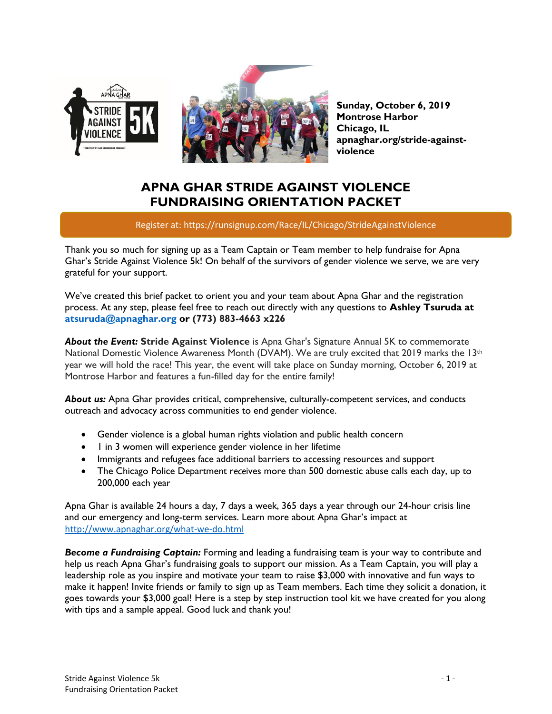



**Sunday, October 6, 2019 Montrose Harbor Chicago, IL apnaghar.org/stride-againstviolence**

# **APNA GHAR STRIDE AGAINST VIOLENCE FUNDRAISING ORIENTATION PACKET**

Register at: https://runsignup.com/Race/IL/Chicago/StrideAgainstViolence

Thank you so much for signing up as a Team Captain or Team member to help fundraise for Apna Ghar's Stride Against Violence 5k! On behalf of the survivors of gender violence we serve, we are very grateful for your support.

We've created this brief packet to orient you and your team about Apna Ghar and the registration process. At any step, please feel free to reach out directly with any questions to **Ashley Tsuruda at [atsuruda@apnaghar.org](mailto:atsuruda@apnaghar.org) or (773) 883-4663 x226**

*About the Event:* **Stride Against Violence** is Apna Ghar's Signature Annual 5K to commemorate National Domestic Violence Awareness Month (DVAM). We are truly excited that 2019 marks the 13<sup>th</sup> year we will hold the race! This year, the event will take place on Sunday morning, October 6, 2019 at Montrose Harbor and features a fun-filled day for the entire family!

*About us:* Apna Ghar provides critical, comprehensive, culturally-competent services, and conducts outreach and advocacy across communities to end gender violence.

- Gender violence is a global human rights violation and public health concern
- 1 in 3 women will experience gender violence in her lifetime
- Immigrants and refugees face additional barriers to accessing resources and support
- The Chicago Police Department r*ece*ives more than 500 domestic abuse calls each day, up to 200,000 each year

Apna Ghar is available 24 hours a day, 7 days a week, 365 days a year through our 24-hour crisis line and our emergency and long-term services. Learn more about Apna Ghar's impact at <http://www.apnaghar.org/what-we-do.html>

*Become a Fundraising Captain:* Forming and leading a fundraising team is your way to contribute and help us reach Apna Ghar's fundraising goals to support our mission. As a Team Captain, you will play a leadership role as you inspire and motivate your team to raise \$3,000 with innovative and fun ways to make it happen! Invite friends or family to sign up as Team members. Each time they solicit a donation, it goes towards your \$3,000 goal! Here is a step by step instruction tool kit we have created for you along with tips and a sample appeal. Good luck and thank you!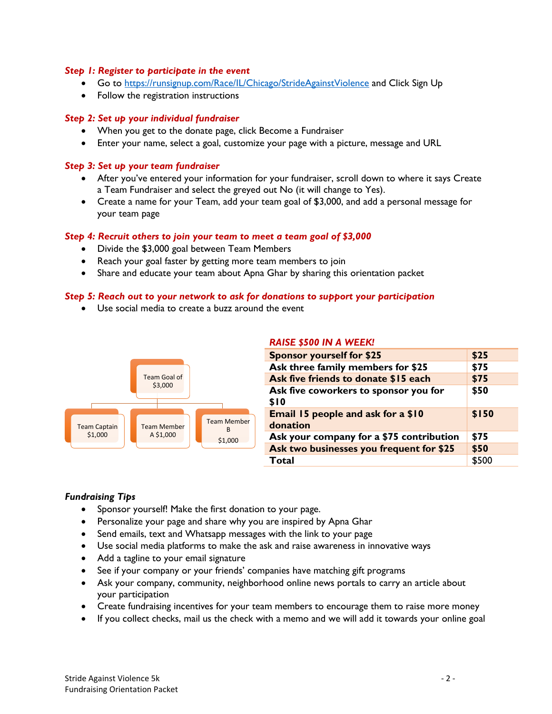## *Step 1: Register to participate in the event*

- Go to<https://runsignup.com/Race/IL/Chicago/StrideAgainstViolence> and Click Sign Up
- Follow the registration instructions

#### *Step 2: Set up your individual fundraiser*

- When you get to the donate page, click Become a Fundraiser
- Enter your name, select a goal, customize your page with a picture, message and URL

## *Step 3: Set up your team fundraiser*

- After you've entered your information for your fundraiser, scroll down to where it says Create a Team Fundraiser and select the greyed out No (it will change to Yes).
- Create a name for your Team, add your team goal of \$3,000, and add a personal message for your team page

#### *Step 4: Recruit others to join your team to meet a team goal of \$3,000*

- Divide the \$3,000 goal between Team Members
- Reach your goal faster by getting more team members to join
- Share and educate your team about Apna Ghar by sharing this orientation packet

# *Step 5: Reach out to your network to ask for donations to support your participation*

• Use social media to create a buzz around the event



#### *RAISE \$500 IN A WEEK!*

| <b>Sponsor yourself for \$25</b>               | \$25  |
|------------------------------------------------|-------|
| Ask three family members for \$25              | \$75  |
| Ask five friends to donate \$15 each           | \$75  |
| Ask five coworkers to sponsor you for<br>\$10  | \$50  |
| Email 15 people and ask for a \$10<br>donation | \$150 |
| Ask your company for a \$75 contribution       | \$75  |
| Ask two businesses you frequent for \$25       | \$50  |
| <b>Total</b>                                   | \$500 |

# *Fundraising Tips*

- Sponsor yourself! Make the first donation to your page.
- Personalize your page and share why you are inspired by Apna Ghar
- Send emails, text and Whatsapp messages with the link to your page
- Use social media platforms to make the ask and raise awareness in innovative ways
- Add a tagline to your email signature
- See if your company or your friends' companies have matching gift programs
- Ask your company, community, neighborhood online news portals to carry an article about your participation
- Create fundraising incentives for your team members to encourage them to raise more money
- If you collect checks, mail us the check with a memo and we will add it towards your online goal